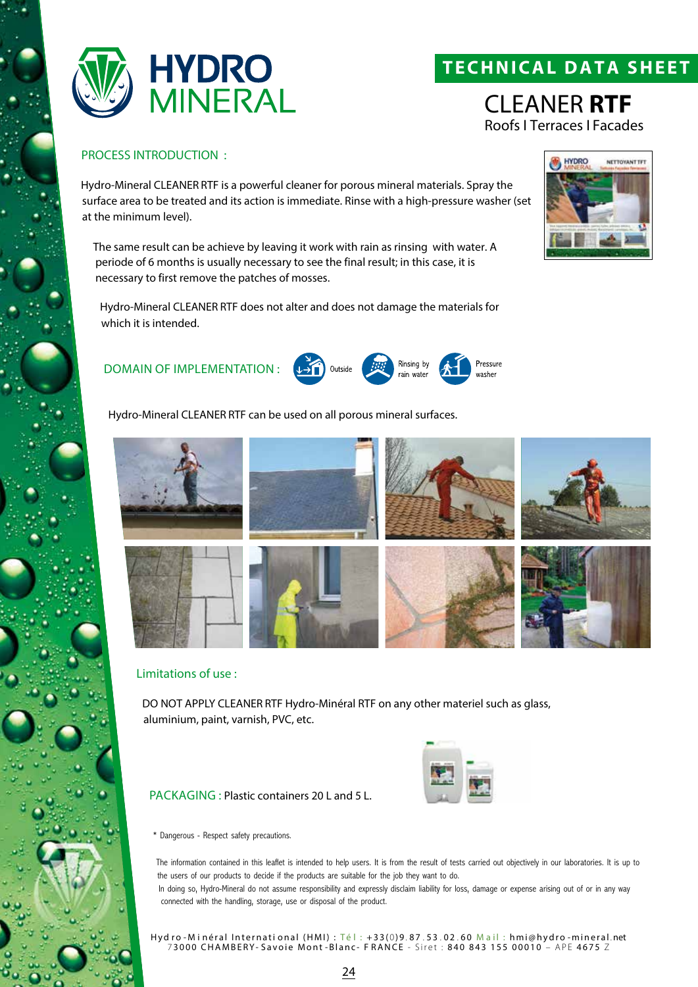

# **TECH NICAL DATA SHEET**

CLEANER **RTF** Roofs I Terraces I Facades

#### PROCESS INTRODUCTION :

Hydro-Mineral CLEANER RTF is a powerful cleaner for porous mineral materials. Spray the surface area to be treated and its action is immediate. Rinse with a high-pressure washer (set at the minimum level).

The same result can be achieve by leaving it work with rain as rinsing with water. A periode of 6 months is usually necessary to see the final result; in this case, it is necessary to first remove the patches of mosses.

Hydro-Mineral CLEANER RTF does not alter and does not damage the materials for which it is intended.

### DOMAIN OF IMPLEMENTATION :

Hydro-Mineral CLEANER RTF can be used on all porous mineral surfaces.



Rinsing by

Pressure

wacher

#### Limitations of use :

DO NOT APPLY CLEANER RTF Hydro-Minéral RTF on any other materiel such as glass, aluminium, paint, varnish, PVC, etc.

PACKAGING : Plastic containers 20 L and 5 L.



\* Dangerous - Respect safety precautions.

The information contained in this leaflet is intended to help users. It is from the result of tests carried out objectively in our laboratories. It is up to the users of our products to decide if the products are suitable for the job they want to do.

In doing so, Hydro-Mineral do not assume responsibility and expressly disclaim liability for loss, damage or expense arising out of or in any way connected with the handling, storage, use or disposal of the product.

Hyd ro - Minéral International (HMI) : Té l : +33(0)9.87.53.02.60 Mail : hmi@hydro - mineral.net 7 3000 CHAMBERY- Savoie Mont -Blanc- F RANCE - Siret : 840 843 155 00010 – APE 4675 Z